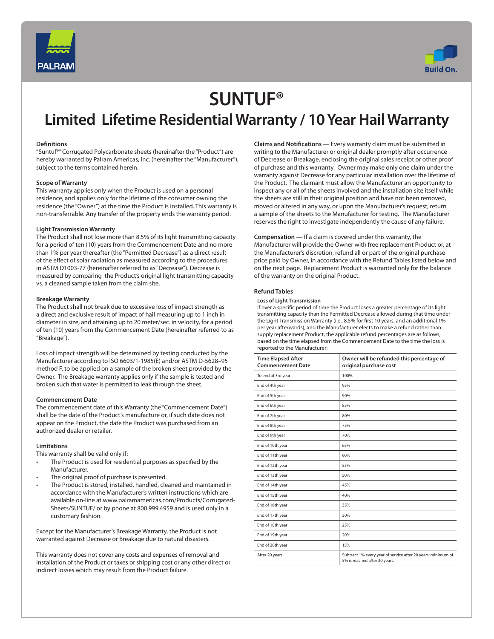



# **SUNTUF®**

### **Limited Lifetime Residential Warranty / 10 Year Hail Warranty**

### **Definitions**

"Suntuf®" Corrugated Polycarbonate sheets (hereinafter the "Product") are hereby warranted by Palram Americas, Inc. (hereinafter the "Manufacturer"), subject to the terms contained herein.

### **Scope of Warranty**

This warranty applies only when the Product is used on a personal residence, and applies only for the lifetime of the consumer owning the residence (the "Owner") at the time the Product is installed. This warranty is non-transferrable. Any transfer of the property ends the warranty period.

### **Light Transmission Warranty**

The Product shall not lose more than 8.5% of its light transmitting capacity for a period of ten (10) years from the Commencement Date and no more than 1% per year thereafter (the "Permitted Decrease") as a direct result of the effect of solar radiation as measured according to the procedures in ASTM D1003-77 (hereinafter referred to as "Decrease"). Decrease is measured by comparing the Product's original light transmitting capacity vs. a cleaned sample taken from the claim site.

### **Breakage Warranty**

The Product shall not break due to excessive loss of impact strength as a direct and exclusive result of impact of hail measuring up to 1 inch in diameter in size, and attaining up to 20 meter/sec. in velocity, for a period of ten (10) years from the Commencement Date (hereinafter referred to as "Breakage").

Loss of impact strength will be determined by testing conducted by the Manufacturer according to ISO 6603/1-1985(E) and/or ASTM D-5628–95 method F, to be applied on a sample of the broken sheet provided by the Owner. The Breakage warranty applies only if the sample is tested and broken such that water is permitted to leak through the sheet.

### **Commencement Date**

The commencement date of this Warranty (the "Commencement Date") shall be the date of the Product's manufacture or, if such date does not appear on the Product, the date the Product was purchased from an authorized dealer or retailer.

### **Limitations**

This warranty shall be valid only if:

- The Product is used for residential purposes as specified by the Manufacturer.
- The original proof of purchase is presented.
- The Product is stored, installed, handled, cleaned and maintained in accordance with the Manufacturer's written instructions which are available on-line at www.palramamericas.com/Products/Corrugated-Sheets/SUNTUF/ or by phone at 800.999.4959 and is used only in a customary fashion.

Except for the Manufacturer's Breakage Warranty, the Product is not warranted against Decrease or Breakage due to natural disasters.

This warranty does not cover any costs and expenses of removal and installation of the Product or taxes or shipping cost or any other direct or indirect losses which may result from the Product failure.

**Claims and Notifications** — Every warranty claim must be submitted in writing to the Manufacturer or original dealer promptly after occurrence of Decrease or Breakage, enclosing the original sales receipt or other proof of purchase and this warranty. Owner may make only one claim under the warranty against Decrease for any particular installation over the lifetime of the Product. The claimant must allow the Manufacturer an opportunity to inspect any or all of the sheets involved and the installation site itself while the sheets are still in their original position and have not been removed, moved or altered in any way, or upon the Manufacturer's request, return a sample of the sheets to the Manufacturer for testing. The Manufacturer reserves the right to investigate independently the cause of any failure.

**Compensation** — If a claim is covered under this warranty, the Manufacturer will provide the Owner with free replacement Product or, at the Manufacturer's discretion, refund all or part of the original purchase price paid by Owner, in accordance with the Refund Tables listed below and on the next page. Replacement Product is warranted only for the balance of the warranty on the original Product.

### **Refund Tables**

### **Loss of Light Transmission**

If over a specific period of time the Product loses a greater percentage of its light transmitting capacity than the Permitted Decrease allowed during that time under the Light Transmission Warranty (i.e., 8.5% for first 10 years, and an additional 1% per year afterwards), and the Manufacturer elects to make a refund rather than supply replacement Product, the applicable refund percentages are as follows, based on the time elapsed from the Commencement Date to the time the loss is reported to the Manufacturer:

| <b>Time Elapsed After</b><br><b>Commencement Date</b> | Owner will be refunded this percentage of<br>original purchase cost                           |
|-------------------------------------------------------|-----------------------------------------------------------------------------------------------|
| To end of 3rd year                                    | 100%                                                                                          |
| End of 4th year                                       | 95%                                                                                           |
| End of 5th year                                       | 90%                                                                                           |
| End of 6th year                                       | 85%                                                                                           |
| End of 7th year                                       | 80%                                                                                           |
| End of 8th year                                       | 75%                                                                                           |
| End of 9th year                                       | 70%                                                                                           |
| End of 10th year                                      | 65%                                                                                           |
| End of 11th year                                      | 60%                                                                                           |
| End of 12th year                                      | 55%                                                                                           |
| End of 13th year                                      | 50%                                                                                           |
| End of 14th year                                      | 45%                                                                                           |
| End of 15th year                                      | 40%                                                                                           |
| End of 16th year                                      | 35%                                                                                           |
| End of 17th year                                      | 30%                                                                                           |
| End of 18th year                                      | 25%                                                                                           |
| End of 19th year                                      | 20%                                                                                           |
| End of 20th year                                      | 15%                                                                                           |
| After 20 years                                        | Subtract 1% every year of service after 20 years; minimum of<br>5% is reached after 30 years. |